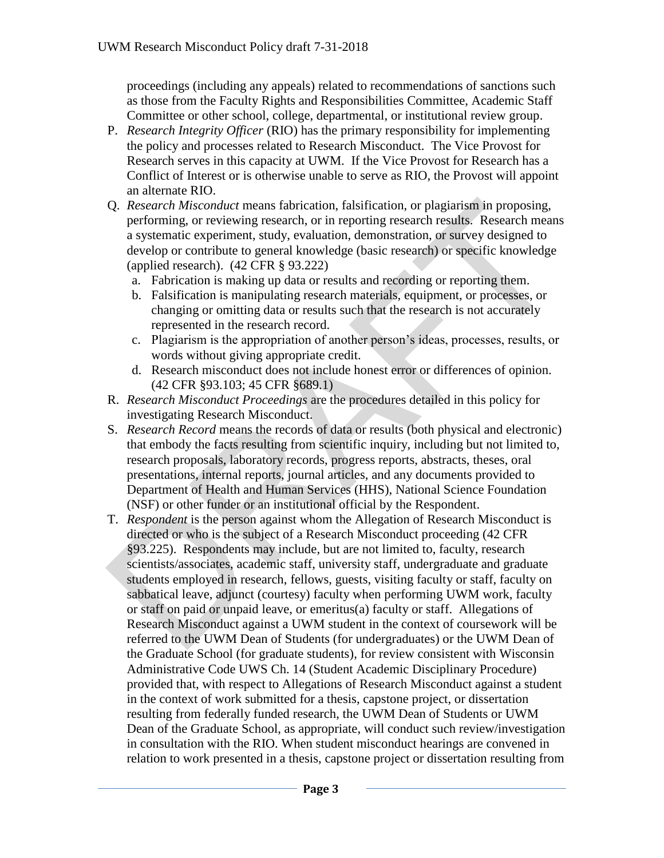proceedings (including any appeals) related to recommendations of sanctions such as those from the Faculty Rights and Responsibilities Committee, Academic Staff Committee or other school, college, departmental, or institutional review group.

- P. *Research Integrity Officer* (RIO) has the primary responsibility for implementing the policy and processes related to Research Misconduct. The Vice Provost for Research serves in this capacity at UWM. If the Vice Provost for Research has a Conflict of Interest or is otherwise unable to serve as RIO, the Provost will appoint an alternate RIO.
- Q. *Research Misconduct* means fabrication, falsification, or plagiarism in proposing, performing, or reviewing research, or in reporting research results. Research means a systematic experiment, study, evaluation, demonstration, or survey designed to develop or contribute to general knowledge (basic research) or specific knowledge (applied research). (42 CFR § 93.222)
	- a. Fabrication is making up data or results and recording or reporting them.
	- b. Falsification is manipulating research materials, equipment, or processes, or changing or omitting data or results such that the research is not accurately represented in the research record.
	- c. Plagiarism is the appropriation of another person's ideas, processes, results, or words without giving appropriate credit.
	- d. Research misconduct does not include honest error or differences of opinion. (42 CFR §93.103; 45 CFR §689.1)
- R. *Research Misconduct Proceedings* are the procedures detailed in this policy for investigating Research Misconduct.
- S. *Research Record* means the records of data or results (both physical and electronic) that embody the facts resulting from scientific inquiry, including but not limited to, research proposals, laboratory records, progress reports, abstracts, theses, oral presentations, internal reports, journal articles, and any documents provided to Department of Health and Human Services (HHS), National Science Foundation (NSF) or other funder or an institutional official by the Respondent.
- T. *Respondent* is the person against whom the Allegation of Research Misconduct is directed or who is the subject of a Research Misconduct proceeding (42 CFR §93.225). Respondents may include, but are not limited to, faculty, research scientists/associates, academic staff, university staff, undergraduate and graduate students employed in research, fellows, guests, visiting faculty or staff, faculty on sabbatical leave, adjunct (courtesy) faculty when performing UWM work, faculty or staff on paid or unpaid leave, or emeritus(a) faculty or staff. Allegations of Research Misconduct against a UWM student in the context of coursework will be referred to the UWM Dean of Students (for undergraduates) or the UWM Dean of the Graduate School (for graduate students), for review consistent with Wisconsin Administrative Code UWS Ch. 14 (Student Academic Disciplinary Procedure) provided that, with respect to Allegations of Research Misconduct against a student in the context of work submitted for a thesis, capstone project, or dissertation resulting from federally funded research, the UWM Dean of Students or UWM Dean of the Graduate School, as appropriate, will conduct such review/investigation in consultation with the RIO. When student misconduct hearings are convened in relation to work presented in a thesis, capstone project or dissertation resulting from Q. *Research Miscomduct* means fabrication, falsification, or plagiarism in proposing,<br>performing, or reviewing research, or in reporting research means<br>a systematic experiment, study, evaluation, demonstration, or survey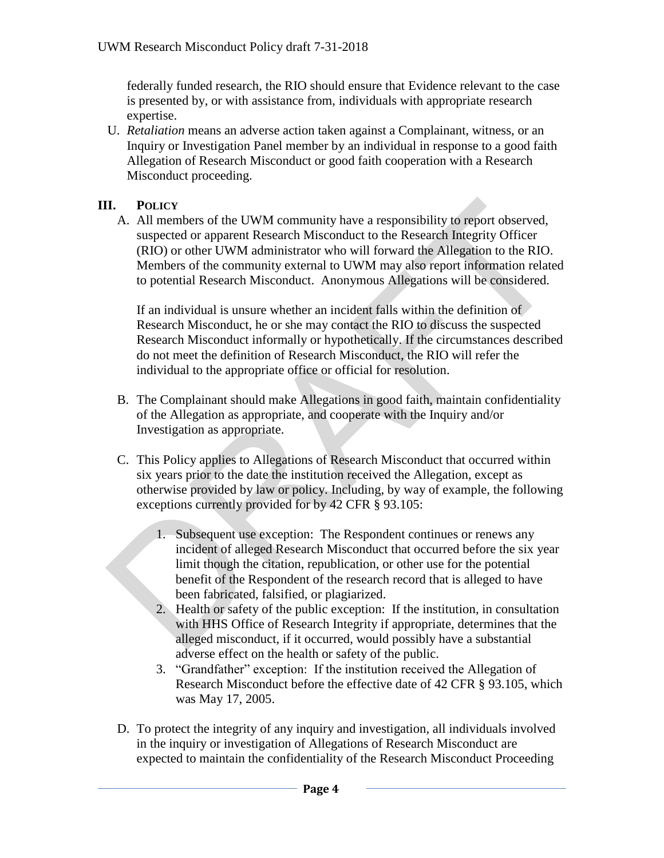federally funded research, the RIO should ensure that Evidence relevant to the case is presented by, or with assistance from, individuals with appropriate research expertise.

U. *Retaliation* means an adverse action taken against a Complainant, witness, or an Inquiry or Investigation Panel member by an individual in response to a good faith Allegation of Research Misconduct or good faith cooperation with a Research Misconduct proceeding.

## **III. POLICY**

A. All members of the UWM community have a responsibility to report observed, suspected or apparent Research Misconduct to the Research Integrity Officer (RIO) or other UWM administrator who will forward the Allegation to the RIO. Members of the community external to UWM may also report information related to potential Research Misconduct. Anonymous Allegations will be considered. **II.** Porticy<br>
A. All members of the UWM community have a responsibility to report observed,<br>
All members of the CWM administrator who will forward the AIICO compact<br>
(RIO) or other UWM administrator who will forward the

If an individual is unsure whether an incident falls within the definition of Research Misconduct, he or she may contact the RIO to discuss the suspected Research Misconduct informally or hypothetically. If the circumstances described do not meet the definition of Research Misconduct, the RIO will refer the individual to the appropriate office or official for resolution.

- B. The Complainant should make Allegations in good faith, maintain confidentiality of the Allegation as appropriate, and cooperate with the Inquiry and/or Investigation as appropriate.
- C. This Policy applies to Allegations of Research Misconduct that occurred within six years prior to the date the institution received the Allegation, except as otherwise provided by law or policy. Including, by way of example, the following exceptions currently provided for by 42 CFR § 93.105:
	- 1. Subsequent use exception: The Respondent continues or renews any incident of alleged Research Misconduct that occurred before the six year limit though the citation, republication, or other use for the potential benefit of the Respondent of the research record that is alleged to have been fabricated, falsified, or plagiarized.
	- 2. Health or safety of the public exception: If the institution, in consultation with HHS Office of Research Integrity if appropriate, determines that the alleged misconduct, if it occurred, would possibly have a substantial adverse effect on the health or safety of the public.
	- 3. "Grandfather" exception: If the institution received the Allegation of Research Misconduct before the effective date of 42 CFR § 93.105, which was May 17, 2005.
- D. To protect the integrity of any inquiry and investigation, all individuals involved in the inquiry or investigation of Allegations of Research Misconduct are expected to maintain the confidentiality of the Research Misconduct Proceeding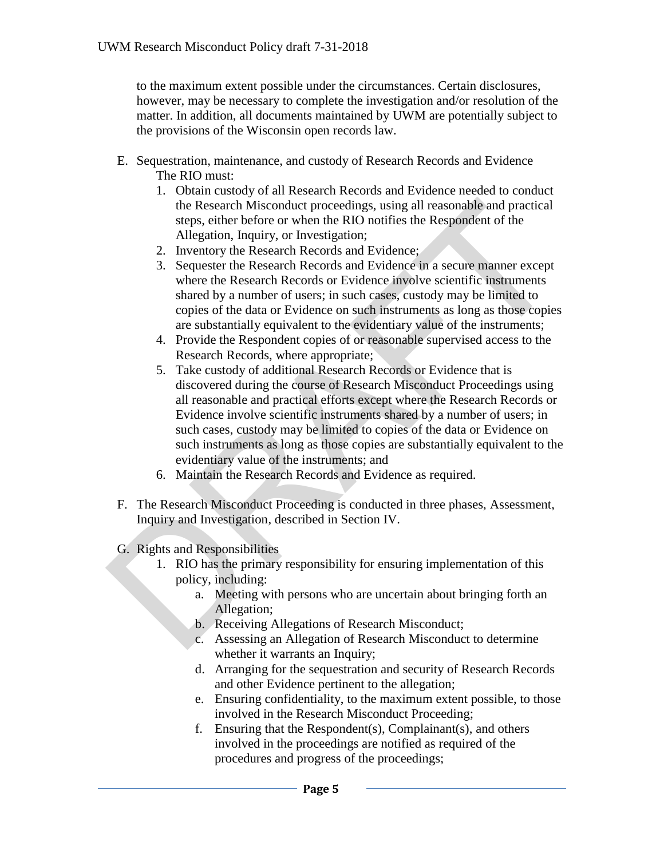to the maximum extent possible under the circumstances. Certain disclosures, however, may be necessary to complete the investigation and/or resolution of the matter. In addition, all documents maintained by UWM are potentially subject to the provisions of the Wisconsin open records law.

- E. Sequestration, maintenance, and custody of Research Records and Evidence The RIO must:
	- 1. Obtain custody of all Research Records and Evidence needed to conduct the Research Misconduct proceedings, using all reasonable and practical steps, either before or when the RIO notifies the Respondent of the Allegation, Inquiry, or Investigation;
	- 2. Inventory the Research Records and Evidence;
	- 3. Sequester the Research Records and Evidence in a secure manner except where the Research Records or Evidence involve scientific instruments shared by a number of users; in such cases, custody may be limited to copies of the data or Evidence on such instruments as long as those copies are substantially equivalent to the evidentiary value of the instruments;
	- 4. Provide the Respondent copies of or reasonable supervised access to the Research Records, where appropriate;
- 5. Take custody of additional Research Records or Evidence that is discovered during the course of Research Misconduct Proceedings using all reasonable and practical efforts except where the Research Records or Evidence involve scientific instruments shared by a number of users; in such cases, custody may be limited to copies of the data or Evidence on such instruments as long as those copies are substantially equivalent to the evidentiary value of the instruments; and the Research Misconduct proceedings, using all reasonable and practical<br>steps, either before or when the RIO notifies the Respondent of the<br>Allegation, Inquiry, or Investigation;<br>2. Inventory the Research Records and Evide
	- 6. Maintain the Research Records and Evidence as required.
	- F. The Research Misconduct Proceeding is conducted in three phases, Assessment, Inquiry and Investigation, described in Section IV.
	- G. Rights and Responsibilities
		- 1. RIO has the primary responsibility for ensuring implementation of this policy, including:
			- a. Meeting with persons who are uncertain about bringing forth an Allegation;
			- b. Receiving Allegations of Research Misconduct;
			- c. Assessing an Allegation of Research Misconduct to determine whether it warrants an Inquiry;
			- d. Arranging for the sequestration and security of Research Records and other Evidence pertinent to the allegation;
			- e. Ensuring confidentiality, to the maximum extent possible, to those involved in the Research Misconduct Proceeding;
			- f. Ensuring that the Respondent(s), Complainant(s), and others involved in the proceedings are notified as required of the procedures and progress of the proceedings;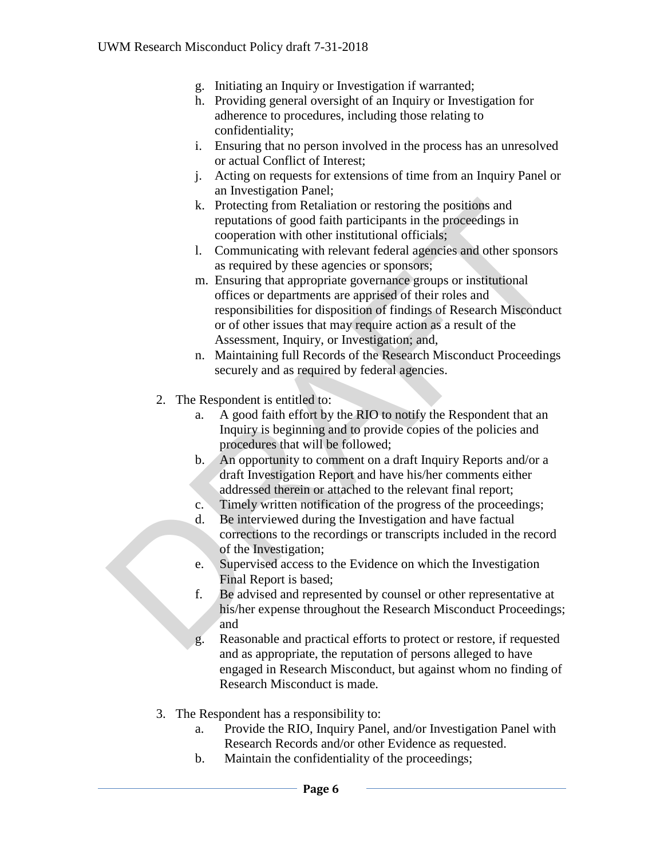- g. Initiating an Inquiry or Investigation if warranted;
- h. Providing general oversight of an Inquiry or Investigation for adherence to procedures, including those relating to confidentiality;
- i. Ensuring that no person involved in the process has an unresolved or actual Conflict of Interest;
- j. Acting on requests for extensions of time from an Inquiry Panel or an Investigation Panel;
- k. Protecting from Retaliation or restoring the positions and reputations of good faith participants in the proceedings in cooperation with other institutional officials;
- l. Communicating with relevant federal agencies and other sponsors as required by these agencies or sponsors;
- m. Ensuring that appropriate governance groups or institutional offices or departments are apprised of their roles and responsibilities for disposition of findings of Research Misconduct or of other issues that may require action as a result of the Assessment, Inquiry, or Investigation; and, R. Protecting from Retaliation or restoring the positions and<br>
reputations of good faith participants in the proceedings in<br>
cooperation with other institutional officials;<br>
1. Communicating with relevant federal agencies
	- n. Maintaining full Records of the Research Misconduct Proceedings securely and as required by federal agencies.
	- 2. The Respondent is entitled to:
		- a. A good faith effort by the RIO to notify the Respondent that an Inquiry is beginning and to provide copies of the policies and procedures that will be followed;
		- b. An opportunity to comment on a draft Inquiry Reports and/or a draft Investigation Report and have his/her comments either addressed therein or attached to the relevant final report;
		- c. Timely written notification of the progress of the proceedings;
		- d. Be interviewed during the Investigation and have factual corrections to the recordings or transcripts included in the record of the Investigation;
		- e. Supervised access to the Evidence on which the Investigation Final Report is based;
		- f. Be advised and represented by counsel or other representative at his/her expense throughout the Research Misconduct Proceedings; and
		- g. Reasonable and practical efforts to protect or restore, if requested and as appropriate, the reputation of persons alleged to have engaged in Research Misconduct, but against whom no finding of Research Misconduct is made.
	- 3. The Respondent has a responsibility to:
		- a. Provide the RIO, Inquiry Panel, and/or Investigation Panel with Research Records and/or other Evidence as requested.
		- b. Maintain the confidentiality of the proceedings;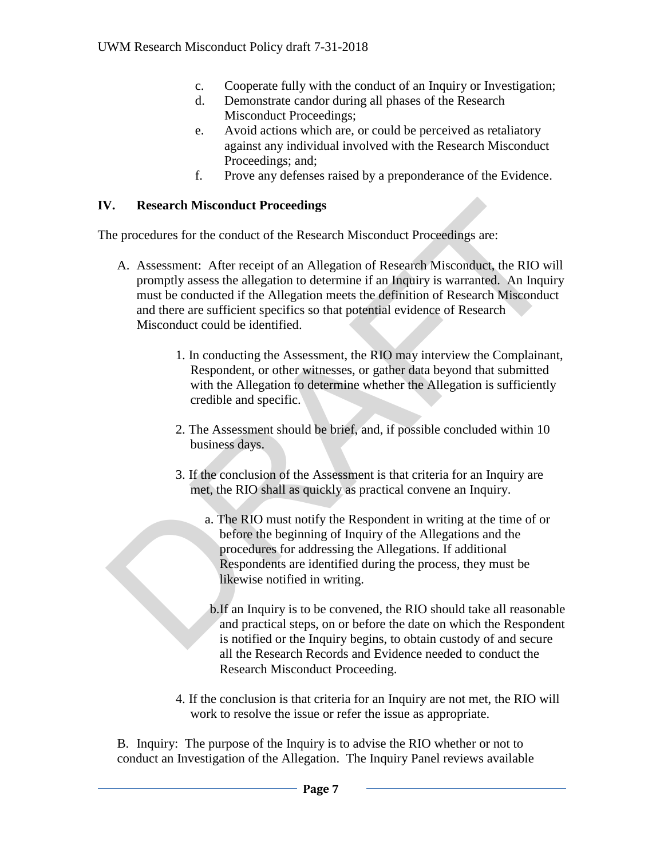- c. Cooperate fully with the conduct of an Inquiry or Investigation;
- d. Demonstrate candor during all phases of the Research Misconduct Proceedings;
- e. Avoid actions which are, or could be perceived as retaliatory against any individual involved with the Research Misconduct Proceedings; and;
- f. Prove any defenses raised by a preponderance of the Evidence.

## **IV. Research Misconduct Proceedings**

The procedures for the conduct of the Research Misconduct Proceedings are:

- A. Assessment: After receipt of an Allegation of Research Misconduct, the RIO will promptly assess the allegation to determine if an Inquiry is warranted. An Inquiry must be conducted if the Allegation meets the definition of Research Misconduct and there are sufficient specifics so that potential evidence of Research Misconduct could be identified. **Example 16**<br> **Research Misconduct Proceedings**<br>
the procedures for the conduct of the Research Misconduct Proceedings are:<br>  $\Lambda$ . Assessment: After receipt of an Allegation of Research Misconduct, the RIO will<br>
promptly
	- 1. In conducting the Assessment, the RIO may interview the Complainant, Respondent, or other witnesses, or gather data beyond that submitted with the Allegation to determine whether the Allegation is sufficiently credible and specific.
	- 2. The Assessment should be brief, and, if possible concluded within 10 business days.
	- 3. If the conclusion of the Assessment is that criteria for an Inquiry are met, the RIO shall as quickly as practical convene an Inquiry.
		- a. The RIO must notify the Respondent in writing at the time of or before the beginning of Inquiry of the Allegations and the procedures for addressing the Allegations. If additional Respondents are identified during the process, they must be likewise notified in writing.
		- b.If an Inquiry is to be convened, the RIO should take all reasonable and practical steps, on or before the date on which the Respondent is notified or the Inquiry begins, to obtain custody of and secure all the Research Records and Evidence needed to conduct the Research Misconduct Proceeding.
	- 4. If the conclusion is that criteria for an Inquiry are not met, the RIO will work to resolve the issue or refer the issue as appropriate.

B. Inquiry: The purpose of the Inquiry is to advise the RIO whether or not to conduct an Investigation of the Allegation. The Inquiry Panel reviews available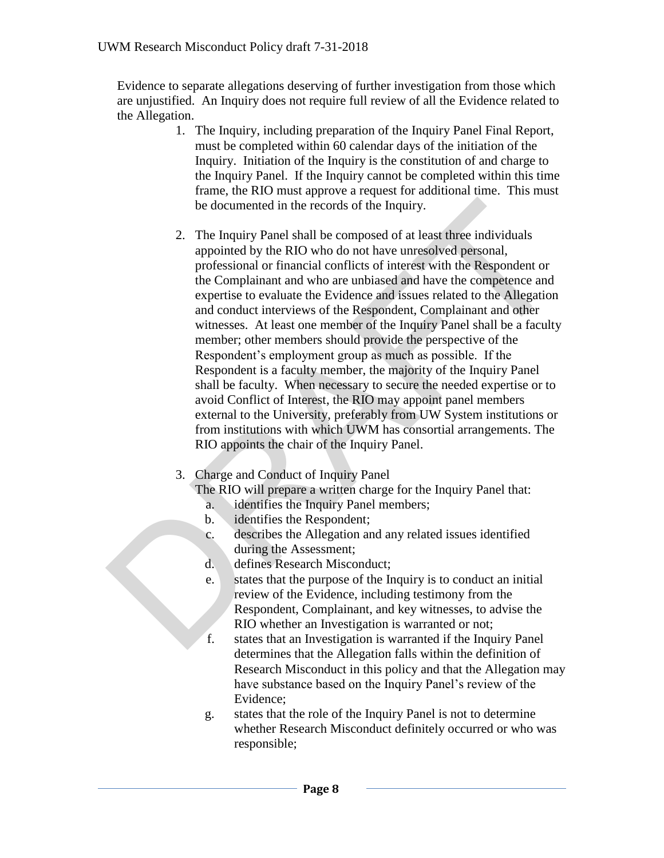Evidence to separate allegations deserving of further investigation from those which are unjustified. An Inquiry does not require full review of all the Evidence related to the Allegation.

- 1. The Inquiry, including preparation of the Inquiry Panel Final Report, must be completed within 60 calendar days of the initiation of the Inquiry. Initiation of the Inquiry is the constitution of and charge to the Inquiry Panel. If the Inquiry cannot be completed within this time frame, the RIO must approve a request for additional time. This must be documented in the records of the Inquiry.
- 2. The Inquiry Panel shall be composed of at least three individuals appointed by the RIO who do not have unresolved personal, professional or financial conflicts of interest with the Respondent or the Complainant and who are unbiased and have the competence and expertise to evaluate the Evidence and issues related to the Allegation and conduct interviews of the Respondent, Complainant and other witnesses. At least one member of the Inquiry Panel shall be a faculty member; other members should provide the perspective of the Respondent's employment group as much as possible. If the Respondent is a faculty member, the majority of the Inquiry Panel shall be faculty. When necessary to secure the needed expertise or to avoid Conflict of Interest, the RIO may appoint panel members external to the University, preferably from UW System institutions or from institutions with which UWM has consortial arrangements. The RIO appoints the chair of the Inquiry Panel. be documented in the records of the Inquiry.<br>
2. The Inquiry Panel shall be composed of at least three individuals<br>
appointed by the RO who do not have unresolved personal,<br>
professional or findincial conflicts of interest
	- 3. Charge and Conduct of Inquiry Panel

The RIO will prepare a written charge for the Inquiry Panel that:

- a. identifies the Inquiry Panel members;
- b. identifies the Respondent;
- c. describes the Allegation and any related issues identified during the Assessment;
- d. defines Research Misconduct;
- e. states that the purpose of the Inquiry is to conduct an initial review of the Evidence, including testimony from the Respondent, Complainant, and key witnesses, to advise the RIO whether an Investigation is warranted or not;
- f. states that an Investigation is warranted if the Inquiry Panel determines that the Allegation falls within the definition of Research Misconduct in this policy and that the Allegation may have substance based on the Inquiry Panel's review of the Evidence;
- g. states that the role of the Inquiry Panel is not to determine whether Research Misconduct definitely occurred or who was responsible;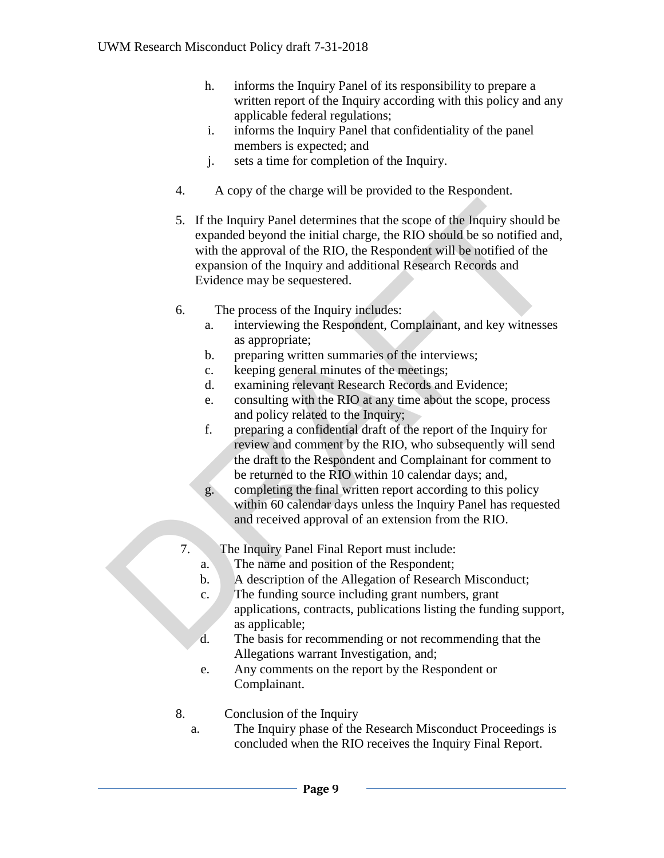- h. informs the Inquiry Panel of its responsibility to prepare a written report of the Inquiry according with this policy and any applicable federal regulations;
- i. informs the Inquiry Panel that confidentiality of the panel members is expected; and
- j. sets a time for completion of the Inquiry.
- 4. A copy of the charge will be provided to the Respondent.
- 5. If the Inquiry Panel determines that the scope of the Inquiry should be expanded beyond the initial charge, the RIO should be so notified and, with the approval of the RIO, the Respondent will be notified of the expansion of the Inquiry and additional Research Records and Evidence may be sequestered. 5. If the Inquiry Panel determines that the scope of the Inquiry should be expanded beyond the initial charge, the RIO should be so notified and with the approval of the RIO, the Respondent will be notified of the expansi
	- 6. The process of the Inquiry includes:
		- a. interviewing the Respondent, Complainant, and key witnesses as appropriate;
		- b. preparing written summaries of the interviews;
		- c. keeping general minutes of the meetings;
		- d. examining relevant Research Records and Evidence;
		- e. consulting with the RIO at any time about the scope, process and policy related to the Inquiry;
		- f. preparing a confidential draft of the report of the Inquiry for review and comment by the RIO, who subsequently will send the draft to the Respondent and Complainant for comment to be returned to the RIO within 10 calendar days; and,
		- g. completing the final written report according to this policy within 60 calendar days unless the Inquiry Panel has requested and received approval of an extension from the RIO.
	- 7. The Inquiry Panel Final Report must include:
		- a. The name and position of the Respondent;
		- b. A description of the Allegation of Research Misconduct;
		- c. The funding source including grant numbers, grant applications, contracts, publications listing the funding support, as applicable;
		- d. The basis for recommending or not recommending that the Allegations warrant Investigation, and;
		- e. Any comments on the report by the Respondent or Complainant.
	- 8. Conclusion of the Inquiry
		- a. The Inquiry phase of the Research Misconduct Proceedings is concluded when the RIO receives the Inquiry Final Report.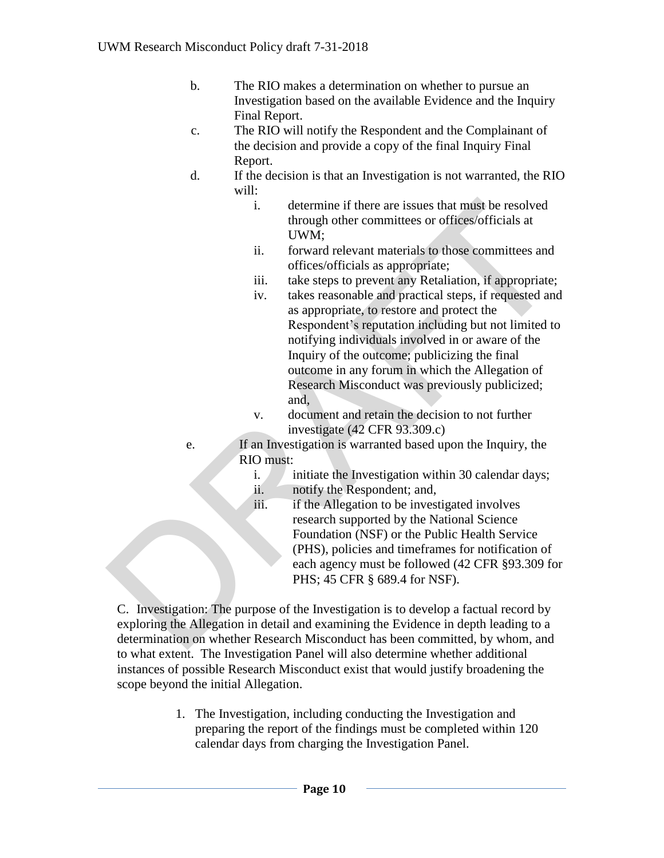- b. The RIO makes a determination on whether to pursue an Investigation based on the available Evidence and the Inquiry Final Report.
- c. The RIO will notify the Respondent and the Complainant of the decision and provide a copy of the final Inquiry Final Report.
- d. If the decision is that an Investigation is not warranted, the RIO will:
	- i. determine if there are issues that must be resolved through other committees or offices/officials at UWM;
	- ii. forward relevant materials to those committees and offices/officials as appropriate;
	- iii. take steps to prevent any Retaliation, if appropriate;
- iv. takes reasonable and practical steps, if requested and as appropriate, to restore and protect the Respondent's reputation including but not limited to notifying individuals involved in or aware of the Inquiry of the outcome; publicizing the final outcome in any forum in which the Allegation of Research Misconduct was previously publicized; and, i. determine if there are issues that mast be resolved<br>through other committees or offices/officials at<br>UWM;<br>i. forward relevant materials to those committees and<br>ii. take steps to prevent any Retaliation, if appropriate;
	- v. document and retain the decision to not further investigate (42 CFR 93.309.c)

e. If an Investigation is warranted based upon the Inquiry, the RIO must:

- i.  $\blacksquare$  initiate the Investigation within 30 calendar days;
- ii. notify the Respondent; and,
- iii. if the Allegation to be investigated involves research supported by the National Science Foundation (NSF) or the Public Health Service (PHS), policies and timeframes for notification of each agency must be followed (42 CFR §93.309 for PHS; 45 CFR § 689.4 for NSF).

C. Investigation: The purpose of the Investigation is to develop a factual record by exploring the Allegation in detail and examining the Evidence in depth leading to a determination on whether Research Misconduct has been committed, by whom, and to what extent. The Investigation Panel will also determine whether additional instances of possible Research Misconduct exist that would justify broadening the scope beyond the initial Allegation.

> 1. The Investigation, including conducting the Investigation and preparing the report of the findings must be completed within 120 calendar days from charging the Investigation Panel.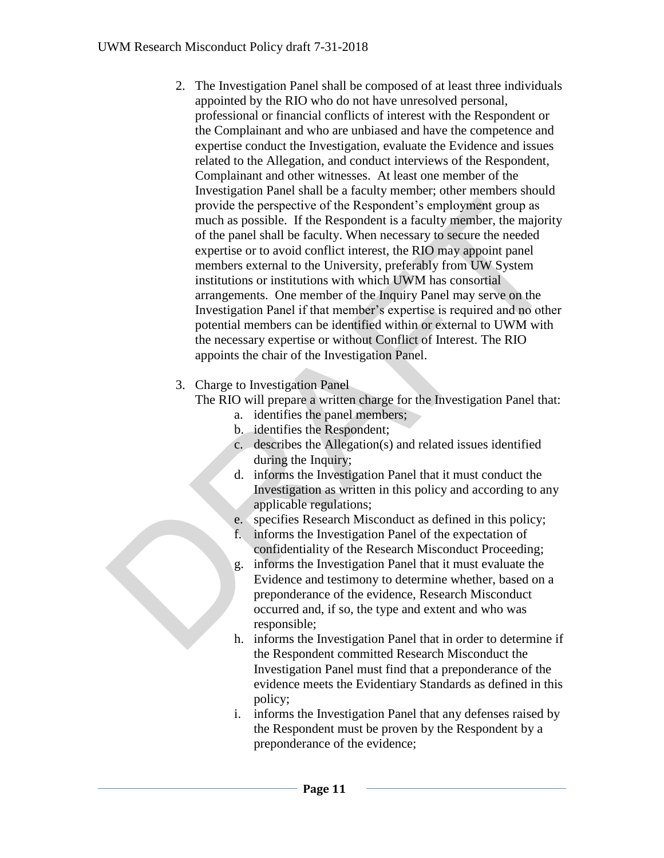- 2. The Investigation Panel shall be composed of at least three individuals appointed by the RIO who do not have unresolved personal, professional or financial conflicts of interest with the Respondent or the Complainant and who are unbiased and have the competence and expertise conduct the Investigation, evaluate the Evidence and issues related to the Allegation, and conduct interviews of the Respondent, Complainant and other witnesses. At least one member of the Investigation Panel shall be a faculty member; other members should provide the perspective of the Respondent's employment group as much as possible. If the Respondent is a faculty member, the majority of the panel shall be faculty. When necessary to secure the needed expertise or to avoid conflict interest, the RIO may appoint panel members external to the University, preferably from UW System institutions or institutions with which UWM has consortial arrangements. One member of the Inquiry Panel may serve on the Investigation Panel if that member's expertise is required and no other potential members can be identified within or external to UWM with the necessary expertise or without Conflict of Interest. The RIO appoints the chair of the Investigation Panel. provide the perspective of the Respondent's employment group as<br>much as possible. If the Respondent is a faculty imember, the majority<br>of the panel shall be faculty. When necessary to secure the needed<br>expertise or to avo
	- 3. Charge to Investigation Panel

The RIO will prepare a written charge for the Investigation Panel that:

- a. identifies the panel members;
- b. identifies the Respondent;
- c. describes the Allegation(s) and related issues identified during the Inquiry;
- d. informs the Investigation Panel that it must conduct the Investigation as written in this policy and according to any applicable regulations;
- e. specifies Research Misconduct as defined in this policy;
- f. informs the Investigation Panel of the expectation of confidentiality of the Research Misconduct Proceeding;
- g. informs the Investigation Panel that it must evaluate the Evidence and testimony to determine whether, based on a preponderance of the evidence, Research Misconduct occurred and, if so, the type and extent and who was responsible;
- h. informs the Investigation Panel that in order to determine if the Respondent committed Research Misconduct the Investigation Panel must find that a preponderance of the evidence meets the Evidentiary Standards as defined in this policy;
- i. informs the Investigation Panel that any defenses raised by the Respondent must be proven by the Respondent by a preponderance of the evidence;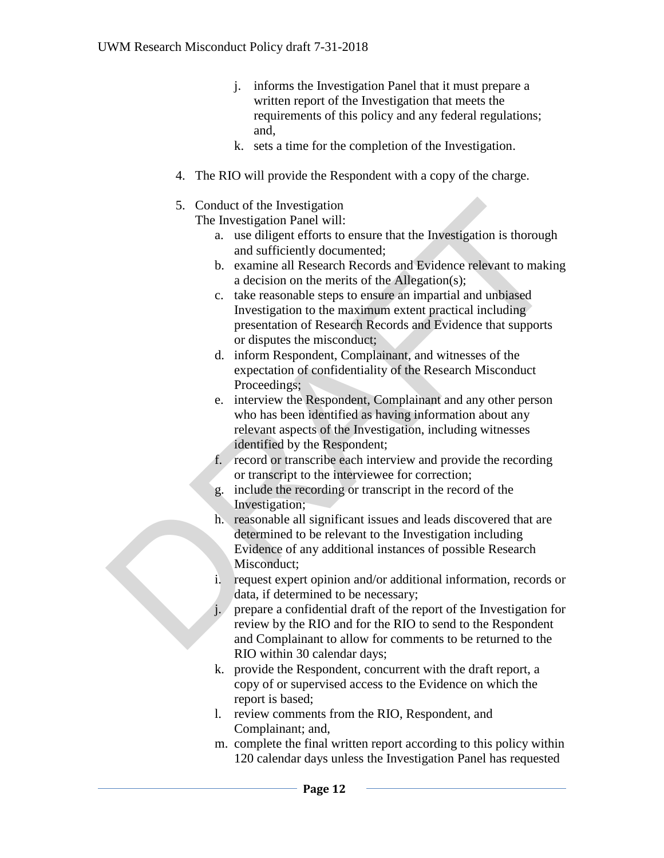- j. informs the Investigation Panel that it must prepare a written report of the Investigation that meets the requirements of this policy and any federal regulations; and,
- k. sets a time for the completion of the Investigation.
- 4. The RIO will provide the Respondent with a copy of the charge.
- 5. Conduct of the Investigation

The Investigation Panel will:

- a. use diligent efforts to ensure that the Investigation is thorough and sufficiently documented;
- b. examine all Research Records and Evidence relevant to making a decision on the merits of the Allegation(s);
- c. take reasonable steps to ensure an impartial and unbiased Investigation to the maximum extent practical including presentation of Research Records and Evidence that supports or disputes the misconduct;
- d. inform Respondent, Complainant, and witnesses of the expectation of confidentiality of the Research Misconduct Proceedings;
- e. interview the Respondent, Complainant and any other person who has been identified as having information about any relevant aspects of the Investigation, including witnesses identified by the Respondent; 5. Conduct of the Investigation<br>
The Investigation Panel will:<br>
a. use diligent erforts to ensure that the Investigation is thorough<br>
and sufficiently documented.<br>
b. examine all Research Records and Evidence relevant to m
	- f. record or transcribe each interview and provide the recording or transcript to the interviewee for correction;
	- g. include the recording or transcript in the record of the Investigation;
	- h. reasonable all significant issues and leads discovered that are determined to be relevant to the Investigation including Evidence of any additional instances of possible Research Misconduct;
	- i. request expert opinion and/or additional information, records or data, if determined to be necessary;
	- j. prepare a confidential draft of the report of the Investigation for review by the RIO and for the RIO to send to the Respondent and Complainant to allow for comments to be returned to the RIO within 30 calendar days;
	- k. provide the Respondent, concurrent with the draft report, a copy of or supervised access to the Evidence on which the report is based;
	- l. review comments from the RIO, Respondent, and Complainant; and,
	- m. complete the final written report according to this policy within 120 calendar days unless the Investigation Panel has requested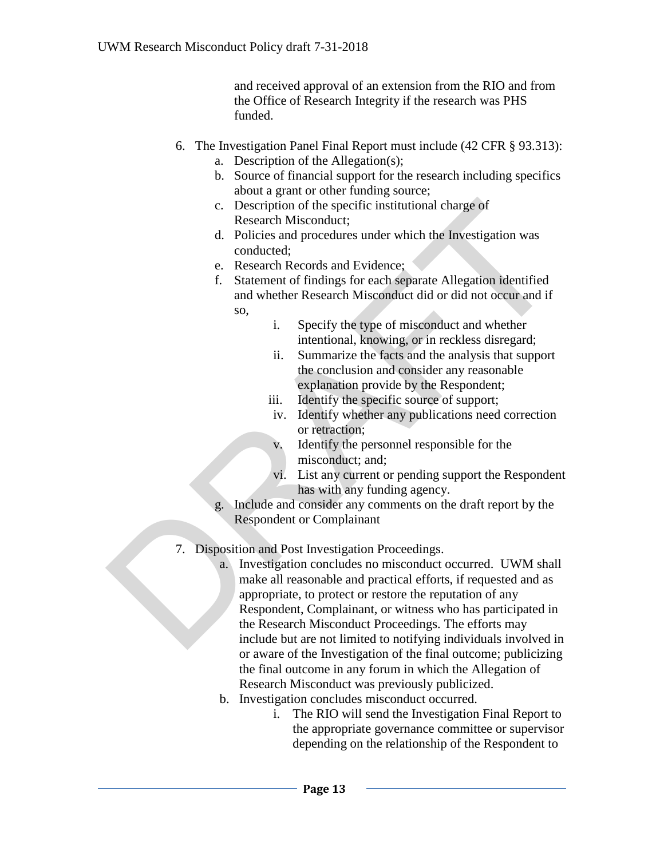and received approval of an extension from the RIO and from the Office of Research Integrity if the research was PHS funded.

- 6. The Investigation Panel Final Report must include (42 CFR § 93.313):
	- a. Description of the Allegation(s);
	- b. Source of financial support for the research including specifics about a grant or other funding source;
	- c. Description of the specific institutional charge of Research Misconduct;
	- d. Policies and procedures under which the Investigation was conducted;
	- e. Research Records and Evidence;
	- f. Statement of findings for each separate Allegation identified and whether Research Misconduct did or did not occur and if so,
		- i. Specify the type of misconduct and whether intentional, knowing, or in reckless disregard;
		- ii. Summarize the facts and the analysis that support the conclusion and consider any reasonable explanation provide by the Respondent;
		- iii. Identify the specific source of support;
		- iv. Identify whether any publications need correction or retraction;
		- v. Identify the personnel responsible for the misconduct; and;
		- vi. List any current or pending support the Respondent has with any funding agency.
	- g. Include and consider any comments on the draft report by the Respondent or Complainant
- 7. Disposition and Post Investigation Proceedings.
- a. Investigation concludes no misconduct occurred. UWM shall make all reasonable and practical efforts, if requested and as appropriate, to protect or restore the reputation of any Respondent, Complainant, or witness who has participated in the Research Misconduct Proceedings. The efforts may include but are not limited to notifying individuals involved in or aware of the Investigation of the final outcome; publicizing the final outcome in any forum in which the Allegation of Research Misconduct was previously publicized. c. Description of the specific institutional charge of<br>
Research Misconduct;<br>
d. Policies and procedures under which the Investigation was<br>
conducted:<br>
e. Research Records and Evidence;<br>
f. Statement of findings for each s
	- b. Investigation concludes misconduct occurred.
		- i. The RIO will send the Investigation Final Report to the appropriate governance committee or supervisor depending on the relationship of the Respondent to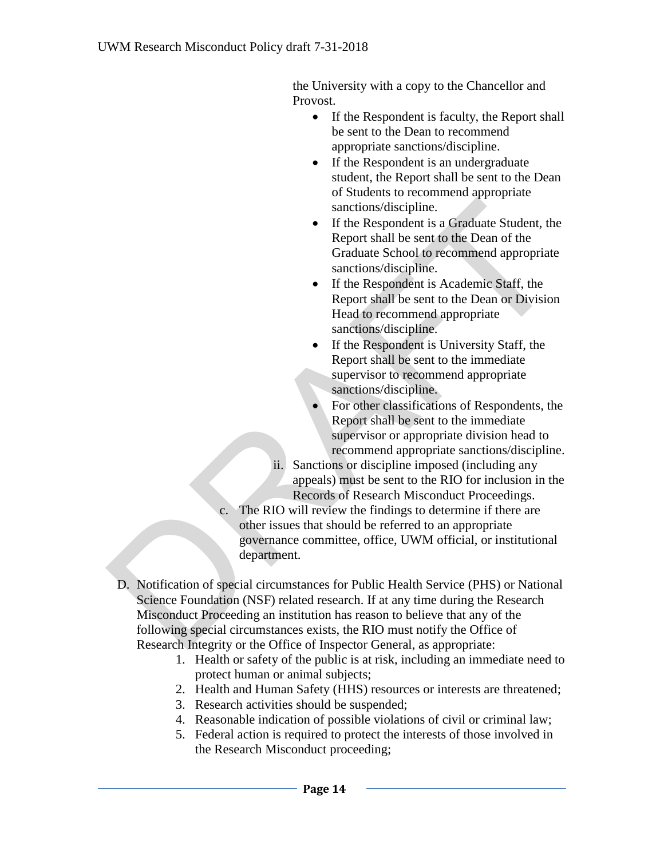the University with a copy to the Chancellor and Provost.

- If the Respondent is faculty, the Report shall be sent to the Dean to recommend appropriate sanctions/discipline.
- If the Respondent is an undergraduate student, the Report shall be sent to the Dean of Students to recommend appropriate sanctions/discipline.
- If the Respondent is a Graduate Student, the Report shall be sent to the Dean of the Graduate School to recommend appropriate sanctions/discipline.
- If the Respondent is Academic Staff, the Report shall be sent to the Dean or Division Head to recommend appropriate sanctions/discipline.
- If the Respondent is University Staff, the Report shall be sent to the immediate supervisor to recommend appropriate sanctions/discipline.
- For other classifications of Respondents, the Report shall be sent to the immediate supervisor or appropriate division head to recommend appropriate sanctions/discipline.
- ii. Sanctions or discipline imposed (including any appeals) must be sent to the RIO for inclusion in the Records of Research Misconduct Proceedings.
- The RIO will review the findings to determine if there are other issues that should be referred to an appropriate governance committee, office, UWM official, or institutional department.
- D. Notification of special circumstances for Public Health Service (PHS) or National Science Foundation (NSF) related research. If at any time during the Research Misconduct Proceeding an institution has reason to believe that any of the following special circumstances exists, the RIO must notify the Office of Research Integrity or the Office of Inspector General, as appropriate: sanctions/discipline.<br>
If the Respondent is a Graduate Student, the<br>
Report shall be sent to the Dean of the<br>
Graduate School to recommend appropriate<br>
sanctions/discipline.<br>
If the Respondent is Academic Staff, the<br>
Repor
	- 1. Health or safety of the public is at risk, including an immediate need to protect human or animal subjects;
	- 2. Health and Human Safety (HHS) resources or interests are threatened;
	- 3. Research activities should be suspended;
	- 4. Reasonable indication of possible violations of civil or criminal law;
	- 5. Federal action is required to protect the interests of those involved in the Research Misconduct proceeding;